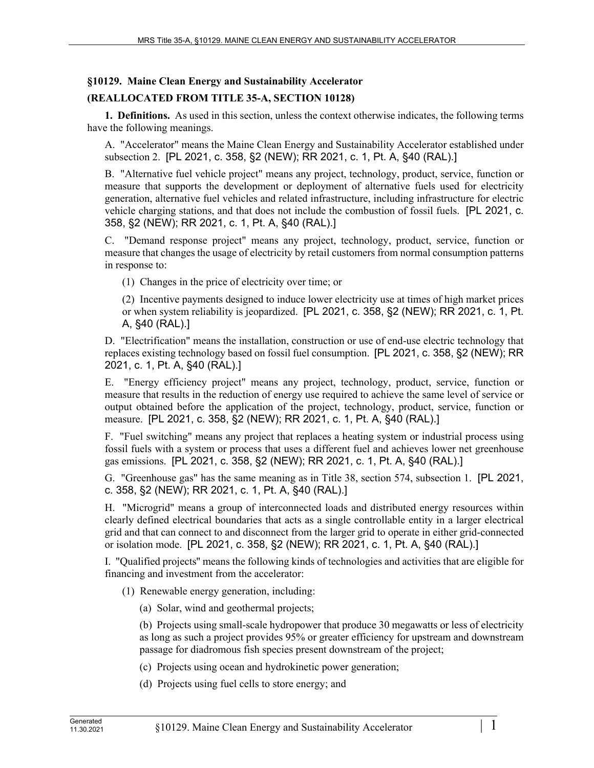## **§10129. Maine Clean Energy and Sustainability Accelerator**

## **(REALLOCATED FROM TITLE 35-A, SECTION 10128)**

**1. Definitions.** As used in this section, unless the context otherwise indicates, the following terms have the following meanings.

A. "Accelerator" means the Maine Clean Energy and Sustainability Accelerator established under subsection 2. [PL 2021, c. 358, §2 (NEW); RR 2021, c. 1, Pt. A, §40 (RAL).]

B. "Alternative fuel vehicle project" means any project, technology, product, service, function or measure that supports the development or deployment of alternative fuels used for electricity generation, alternative fuel vehicles and related infrastructure, including infrastructure for electric vehicle charging stations, and that does not include the combustion of fossil fuels. [PL 2021, c. 358, §2 (NEW); RR 2021, c. 1, Pt. A, §40 (RAL).]

C. "Demand response project" means any project, technology, product, service, function or measure that changes the usage of electricity by retail customers from normal consumption patterns in response to:

(1) Changes in the price of electricity over time; or

(2) Incentive payments designed to induce lower electricity use at times of high market prices or when system reliability is jeopardized. [PL 2021, c. 358, §2 (NEW); RR 2021, c. 1, Pt. A, §40 (RAL).]

D. "Electrification" means the installation, construction or use of end-use electric technology that replaces existing technology based on fossil fuel consumption. [PL 2021, c. 358, §2 (NEW); RR 2021, c. 1, Pt. A, §40 (RAL).]

E. "Energy efficiency project" means any project, technology, product, service, function or measure that results in the reduction of energy use required to achieve the same level of service or output obtained before the application of the project, technology, product, service, function or measure. [PL 2021, c. 358, §2 (NEW); RR 2021, c. 1, Pt. A, §40 (RAL).]

F. "Fuel switching" means any project that replaces a heating system or industrial process using fossil fuels with a system or process that uses a different fuel and achieves lower net greenhouse gas emissions. [PL 2021, c. 358, §2 (NEW); RR 2021, c. 1, Pt. A, §40 (RAL).]

G. "Greenhouse gas" has the same meaning as in Title 38, section 574, subsection 1. [PL 2021, c. 358, §2 (NEW); RR 2021, c. 1, Pt. A, §40 (RAL).]

H. "Microgrid" means a group of interconnected loads and distributed energy resources within clearly defined electrical boundaries that acts as a single controllable entity in a larger electrical grid and that can connect to and disconnect from the larger grid to operate in either grid-connected or isolation mode. [PL 2021, c. 358, §2 (NEW); RR 2021, c. 1, Pt. A, §40 (RAL).]

I. "Qualified projects'' means the following kinds of technologies and activities that are eligible for financing and investment from the accelerator:

(1) Renewable energy generation, including:

(a) Solar, wind and geothermal projects;

(b) Projects using small-scale hydropower that produce 30 megawatts or less of electricity as long as such a project provides 95% or greater efficiency for upstream and downstream passage for diadromous fish species present downstream of the project;

(c) Projects using ocean and hydrokinetic power generation;

(d) Projects using fuel cells to store energy; and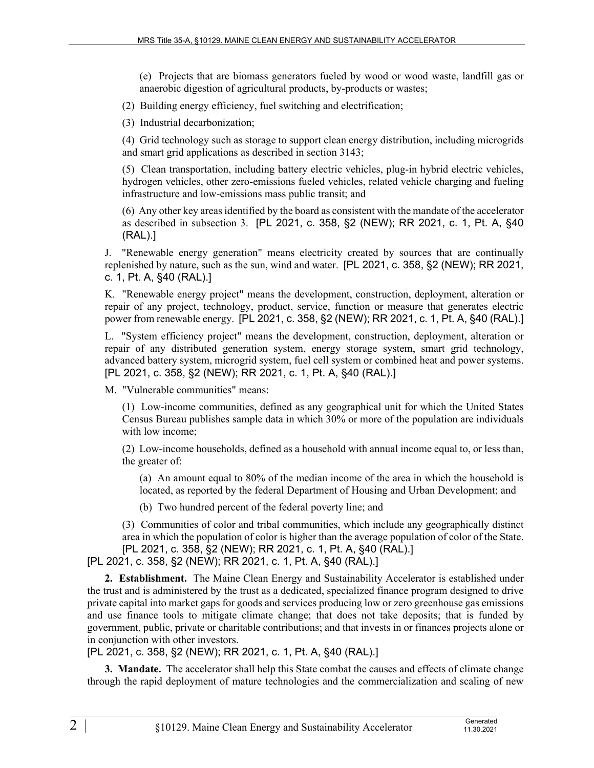(e) Projects that are biomass generators fueled by wood or wood waste, landfill gas or anaerobic digestion of agricultural products, by-products or wastes;

(2) Building energy efficiency, fuel switching and electrification;

(3) Industrial decarbonization;

(4) Grid technology such as storage to support clean energy distribution, including microgrids and smart grid applications as described in section 3143;

(5) Clean transportation, including battery electric vehicles, plug-in hybrid electric vehicles, hydrogen vehicles, other zero-emissions fueled vehicles, related vehicle charging and fueling infrastructure and low-emissions mass public transit; and

(6) Any other key areas identified by the board as consistent with the mandate of the accelerator as described in subsection 3. [PL 2021, c. 358, §2 (NEW); RR 2021, c. 1, Pt. A, §40 (RAL).]

J. "Renewable energy generation" means electricity created by sources that are continually replenished by nature, such as the sun, wind and water. [PL 2021, c. 358, §2 (NEW); RR 2021, c. 1, Pt. A, §40 (RAL).]

K. "Renewable energy project" means the development, construction, deployment, alteration or repair of any project, technology, product, service, function or measure that generates electric power from renewable energy. [PL 2021, c. 358, §2 (NEW); RR 2021, c. 1, Pt. A, §40 (RAL).]

L. "System efficiency project" means the development, construction, deployment, alteration or repair of any distributed generation system, energy storage system, smart grid technology, advanced battery system, microgrid system, fuel cell system or combined heat and power systems. [PL 2021, c. 358, §2 (NEW); RR 2021, c. 1, Pt. A, §40 (RAL).]

M. "Vulnerable communities" means:

(1) Low-income communities, defined as any geographical unit for which the United States Census Bureau publishes sample data in which 30% or more of the population are individuals with low income;

(2) Low-income households, defined as a household with annual income equal to, or less than, the greater of:

(a) An amount equal to 80% of the median income of the area in which the household is located, as reported by the federal Department of Housing and Urban Development; and

(b) Two hundred percent of the federal poverty line; and

(3) Communities of color and tribal communities, which include any geographically distinct area in which the population of color is higher than the average population of color of the State. [PL 2021, c. 358, §2 (NEW); RR 2021, c. 1, Pt. A, §40 (RAL).]

[PL 2021, c. 358, §2 (NEW); RR 2021, c. 1, Pt. A, §40 (RAL).]

**2. Establishment.** The Maine Clean Energy and Sustainability Accelerator is established under the trust and is administered by the trust as a dedicated, specialized finance program designed to drive private capital into market gaps for goods and services producing low or zero greenhouse gas emissions and use finance tools to mitigate climate change; that does not take deposits; that is funded by government, public, private or charitable contributions; and that invests in or finances projects alone or in conjunction with other investors.

[PL 2021, c. 358, §2 (NEW); RR 2021, c. 1, Pt. A, §40 (RAL).]

**3. Mandate.** The accelerator shall help this State combat the causes and effects of climate change through the rapid deployment of mature technologies and the commercialization and scaling of new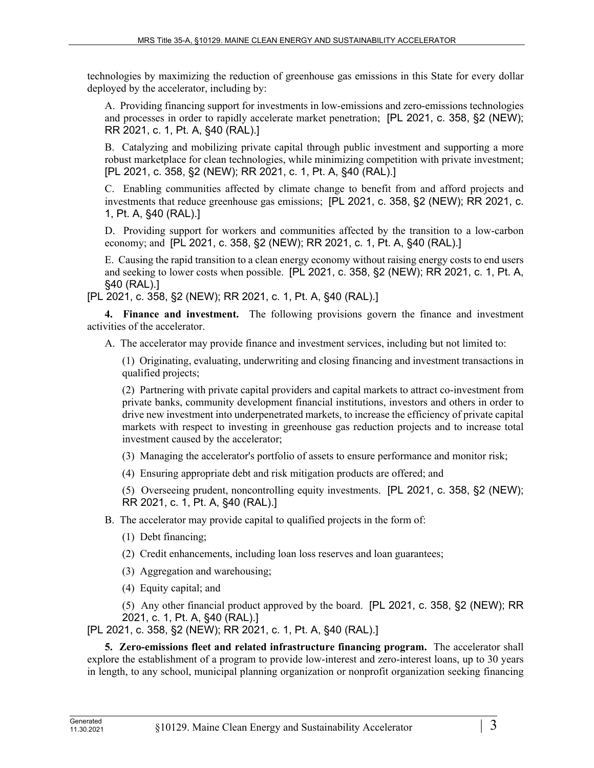technologies by maximizing the reduction of greenhouse gas emissions in this State for every dollar deployed by the accelerator, including by:

A. Providing financing support for investments in low-emissions and zero-emissions technologies and processes in order to rapidly accelerate market penetration; [PL 2021, c. 358, §2 (NEW); RR 2021, c. 1, Pt. A, §40 (RAL).]

B. Catalyzing and mobilizing private capital through public investment and supporting a more robust marketplace for clean technologies, while minimizing competition with private investment; [PL 2021, c. 358, §2 (NEW); RR 2021, c. 1, Pt. A, §40 (RAL).]

C. Enabling communities affected by climate change to benefit from and afford projects and investments that reduce greenhouse gas emissions; [PL 2021, c. 358, §2 (NEW); RR 2021, c. 1, Pt. A, §40 (RAL).]

D. Providing support for workers and communities affected by the transition to a low-carbon economy; and [PL 2021, c. 358, §2 (NEW); RR 2021, c. 1, Pt. A, §40 (RAL).]

E. Causing the rapid transition to a clean energy economy without raising energy costs to end users and seeking to lower costs when possible. [PL 2021, c. 358, §2 (NEW); RR 2021, c. 1, Pt. A, §40 (RAL).]

[PL 2021, c. 358, §2 (NEW); RR 2021, c. 1, Pt. A, §40 (RAL).]

**4. Finance and investment.** The following provisions govern the finance and investment activities of the accelerator.

A. The accelerator may provide finance and investment services, including but not limited to:

(1) Originating, evaluating, underwriting and closing financing and investment transactions in qualified projects;

(2) Partnering with private capital providers and capital markets to attract co-investment from private banks, community development financial institutions, investors and others in order to drive new investment into underpenetrated markets, to increase the efficiency of private capital markets with respect to investing in greenhouse gas reduction projects and to increase total investment caused by the accelerator;

(3) Managing the accelerator's portfolio of assets to ensure performance and monitor risk;

(4) Ensuring appropriate debt and risk mitigation products are offered; and

(5) Overseeing prudent, noncontrolling equity investments. [PL 2021, c. 358, §2 (NEW); RR 2021, c. 1, Pt. A, §40 (RAL).]

B. The accelerator may provide capital to qualified projects in the form of:

- (1) Debt financing;
- (2) Credit enhancements, including loan loss reserves and loan guarantees;
- (3) Aggregation and warehousing;
- (4) Equity capital; and

(5) Any other financial product approved by the board. [PL 2021, c. 358, §2 (NEW); RR 2021, c. 1, Pt. A, §40 (RAL).]

[PL 2021, c. 358, §2 (NEW); RR 2021, c. 1, Pt. A, §40 (RAL).]

**5. Zero-emissions fleet and related infrastructure financing program.** The accelerator shall explore the establishment of a program to provide low-interest and zero-interest loans, up to 30 years in length, to any school, municipal planning organization or nonprofit organization seeking financing